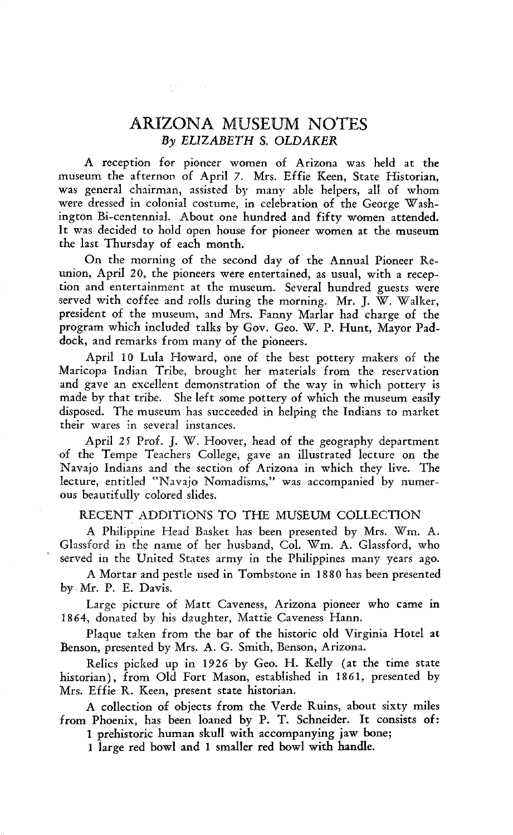# ARIZONA MUSEUM NOTES *By ELIZABETH* S. *OLDAKER*

A reception for pioneer women of Arizona was held at the museum the afternon of April 7. Mrs. Effie Keen, State Historian, was general chairman, assisted by many able helpers, all of whom were dressed in colonial costume, in celebration of the George Washington Bi-centennial. About one hundred and fifty women attended. It was decided to hold open house for pioneer women at the museum the last Thursday of each month.

On the morning of the second day of the Annual Pioneer Reunion, April 20, the pioneers were entertained, as usual, with a reception and entertainment at the museum. Several hundred guests were served with coffee and rolls during the morning. Mr. J. W. Walker, president of the museum, and Mrs. Fanny Marlar had charge of the program which included talks by Gov. Geo. W. P. Hunt, Mayor Paddock, and remarks from many of the pioneers.

April 10 Lula Howard, one of the best pottery makers of the Maricopa Indian Tribe, brought her materials from the reservation and gave an excellent demonstration of the way in which pottery is made by that tribe. She left some pottery of which the museum easily disposed. The museum has succeeded in helping the Indians to market their wares in several instances.

April 25 Prof. J. W. Hoover, head of the geography department of the Tempe Teachers College, gave an illustrated lecture on the Navajo Indians and the section of Arizona in which they live. The lecture, entitled "Navajo Nomadisms," was accompanied by numerous beautifully colored slides.

## RECENT ADDITIONS TO THE MUSEUM COLLECTION

A Philippine Head Basket has been presented by Mrs. Wm. A. Glassford in the name of her husband, Col. Wm. A. Glassford, who served in the United States army in the Philippines many years ago.

A Mortar and pestle used in Tombstone in 1880 has been presented by Mr. P. E. Davis.

Large picture of Matt Caveness, Arizona pioneer who came in 1864, donated by his daughter, Mattie Caveness Hann.

Plaque taken from the bar of the historic old Virginia Hotel at Benson, presented by Mrs. A. G. Smith, Benson, Arizona.

Relics picked up in 1926 by Geo. H. Kelly (at the time state historian), from Old Fort Mason, established in 1861, presented by Mrs. Effie R. Keen, present state historian.

A collection of objects from the Verde Ruins, about sixty miles from Phoenix, has been loaned by P. T. Schneider. It consists of:

1 prehistoric human skull with accompanying jaw bone;

1 large red bowl and 1 smaller red bowl with handle.